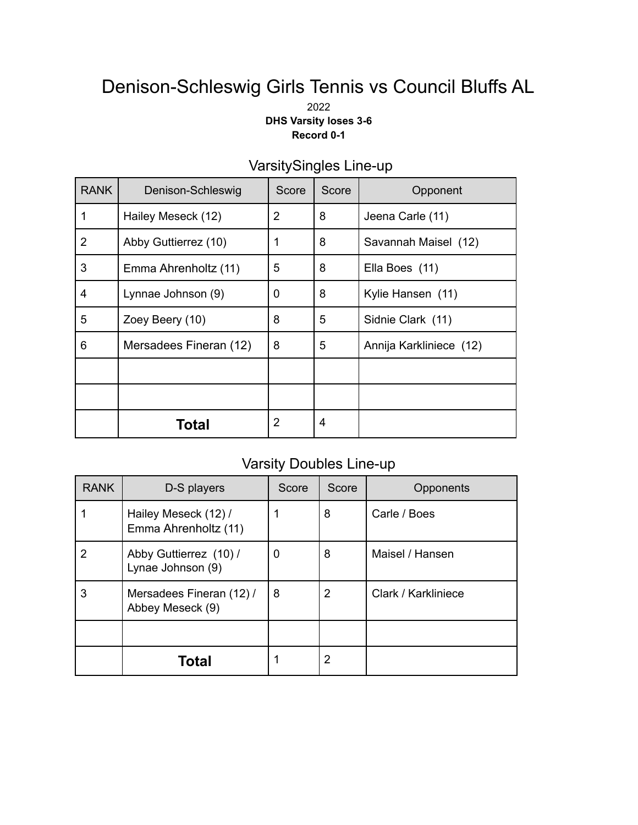# Denison-Schleswig Girls Tennis vs Council Bluffs AL

2022 **DHS Varsity loses 3-6 Record 0-1**

| <b>RANK</b>    | Denison-Schleswig      | Score | Score | Opponent                |
|----------------|------------------------|-------|-------|-------------------------|
| 1              | Hailey Meseck (12)     | 2     | 8     | Jeena Carle (11)        |
| $\overline{2}$ | Abby Guttierrez (10)   | 1     | 8     | Savannah Maisel (12)    |
| 3              | Emma Ahrenholtz (11)   | 5     | 8     | Ella Boes (11)          |
| 4              | Lynnae Johnson (9)     | 0     | 8     | Kylie Hansen (11)       |
| 5              | Zoey Beery (10)        | 8     | 5     | Sidnie Clark (11)       |
| 6              | Mersadees Fineran (12) | 8     | 5     | Annija Karkliniece (12) |
|                |                        |       |       |                         |
|                |                        |       |       |                         |
|                | Total                  | 2     | 4     |                         |

## VarsitySingles Line-up

### Varsity Doubles Line-up

| <b>RANK</b> | D-S players                                  | Score | Score | Opponents           |
|-------------|----------------------------------------------|-------|-------|---------------------|
|             | Hailey Meseck (12) /<br>Emma Ahrenholtz (11) |       | 8     | Carle / Boes        |
| 2           | Abby Guttierrez (10) /<br>Lynae Johnson (9)  | 0     | 8     | Maisel / Hansen     |
| 3           | Mersadees Fineran (12) /<br>Abbey Meseck (9) | 8     | 2     | Clark / Karkliniece |
|             |                                              |       |       |                     |
|             | Total                                        |       | 2     |                     |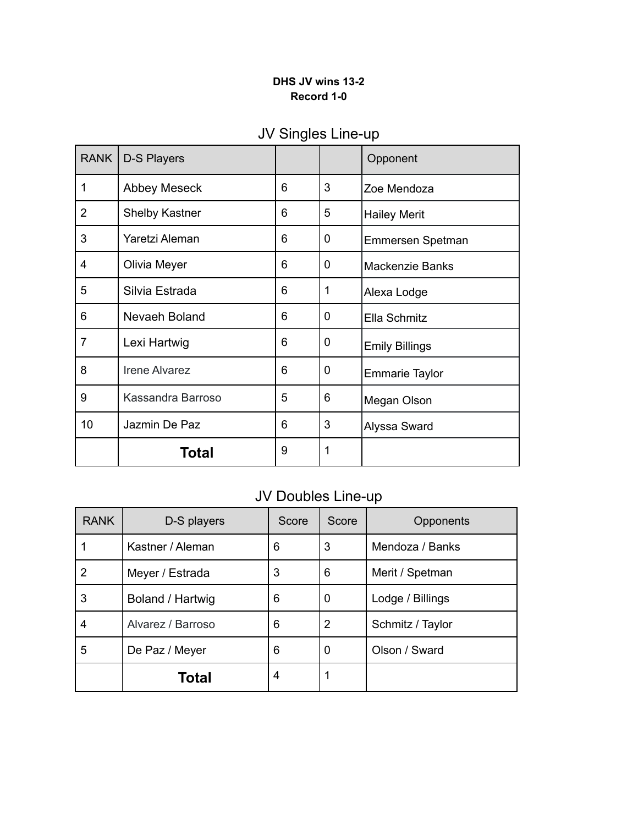#### **DHS JV wins 13-2 Record 1-0**

| <b>RANK</b>    | D-S Players           |   |   | Opponent               |
|----------------|-----------------------|---|---|------------------------|
| 1              | <b>Abbey Meseck</b>   | 6 | 3 | Zoe Mendoza            |
| $\overline{2}$ | <b>Shelby Kastner</b> | 6 | 5 | <b>Hailey Merit</b>    |
| 3              | Yaretzi Aleman        | 6 | 0 | Emmersen Spetman       |
| 4              | Olivia Meyer          | 6 | 0 | <b>Mackenzie Banks</b> |
| 5              | Silvia Estrada        | 6 | 1 | Alexa Lodge            |
| 6              | Nevaeh Boland         | 6 | 0 | Ella Schmitz           |
| 7              | Lexi Hartwig          | 6 | 0 | <b>Emily Billings</b>  |
| 8              | <b>Irene Alvarez</b>  | 6 | 0 | <b>Emmarie Taylor</b>  |
| 9              | Kassandra Barroso     | 5 | 6 | Megan Olson            |
| 10             | Jazmin De Paz         | 6 | 3 | Alyssa Sward           |
|                | Total                 | 9 | 1 |                        |

## JV Singles Line-up

## JV Doubles Line-up

| <b>RANK</b>    | D-S players       | Score | Score          | Opponents        |
|----------------|-------------------|-------|----------------|------------------|
|                | Kastner / Aleman  | 6     | 3              | Mendoza / Banks  |
| $\overline{2}$ | Meyer / Estrada   | 3     | 6              | Merit / Spetman  |
| 3              | Boland / Hartwig  | 6     | 0              | Lodge / Billings |
| 4              | Alvarez / Barroso | 6     | $\overline{2}$ | Schmitz / Taylor |
| 5              | De Paz / Meyer    | 6     | 0              | Olson / Sward    |
|                | Total             | 4     | 1              |                  |